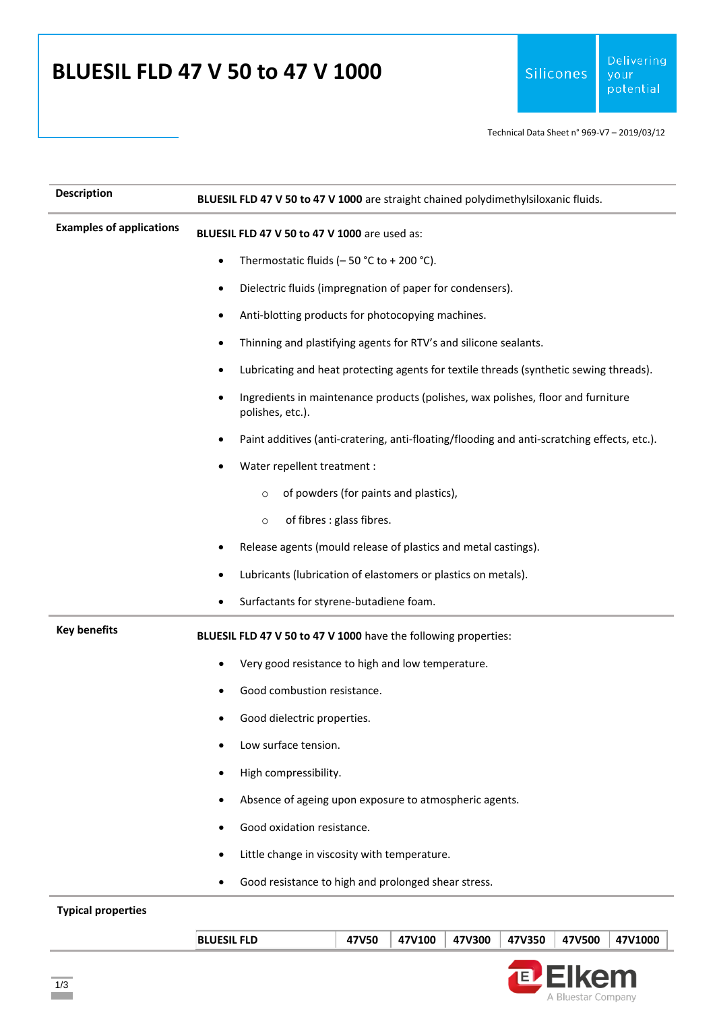## **BLUESIL FLD 47 V 50 to 47 V 1000**

Technical Data Sheet n° 969-V7 – 2019/03/12

| <b>Description</b>              | BLUESIL FLD 47 V 50 to 47 V 1000 are straight chained polydimethylsiloxanic fluids.                  |
|---------------------------------|------------------------------------------------------------------------------------------------------|
| <b>Examples of applications</b> | BLUESIL FLD 47 V 50 to 47 V 1000 are used as:                                                        |
|                                 | Thermostatic fluids ( $-50$ °C to + 200 °C).<br>$\bullet$                                            |
|                                 | Dielectric fluids (impregnation of paper for condensers).<br>٠                                       |
|                                 | Anti-blotting products for photocopying machines.<br>٠                                               |
|                                 | Thinning and plastifying agents for RTV's and silicone sealants.<br>٠                                |
|                                 | Lubricating and heat protecting agents for textile threads (synthetic sewing threads).<br>٠          |
|                                 | Ingredients in maintenance products (polishes, wax polishes, floor and furniture<br>polishes, etc.). |
|                                 | Paint additives (anti-cratering, anti-floating/flooding and anti-scratching effects, etc.).          |
|                                 | Water repellent treatment :                                                                          |
|                                 | of powders (for paints and plastics),<br>$\circ$                                                     |
|                                 | of fibres : glass fibres.<br>$\circ$                                                                 |
|                                 | Release agents (mould release of plastics and metal castings).                                       |
|                                 | Lubricants (lubrication of elastomers or plastics on metals).                                        |
|                                 | Surfactants for styrene-butadiene foam.                                                              |
| <b>Key benefits</b>             | BLUESIL FLD 47 V 50 to 47 V 1000 have the following properties:                                      |
|                                 | Very good resistance to high and low temperature.                                                    |
|                                 | Good combustion resistance.                                                                          |
|                                 | Good dielectric properties.                                                                          |
|                                 | Low surface tension.                                                                                 |
|                                 | High compressibility.                                                                                |
|                                 | Absence of ageing upon exposure to atmospheric agents.                                               |
|                                 | Good oxidation resistance.<br>٠                                                                      |
|                                 | Little change in viscosity with temperature.<br>٠                                                    |
|                                 | Good resistance to high and prolonged shear stress.                                                  |

|  | <b>BLUESIL FLD</b> | 47V50 | 47V100 L |  | 47V300   47V350   47V500 |  | 47V1000 |
|--|--------------------|-------|----------|--|--------------------------|--|---------|
|--|--------------------|-------|----------|--|--------------------------|--|---------|

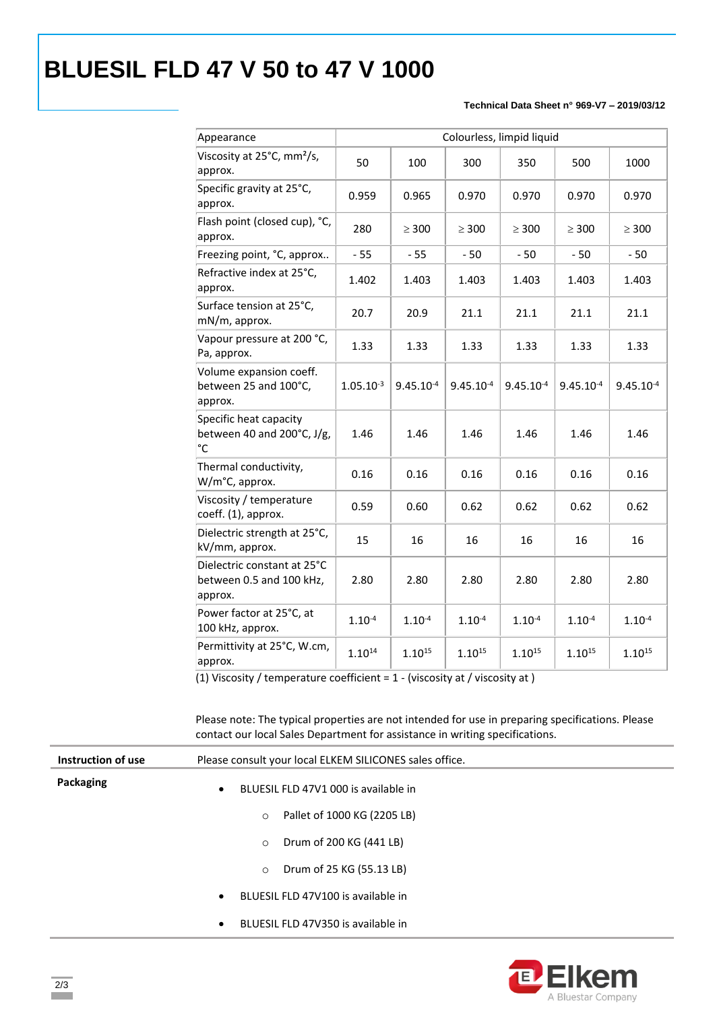# **BLUESIL FLD 47 V 50 to 47 V 1000**

### **Technical Data Sheet n° 969-V7 – 2019/03/12**

| Appearance                                                           | Colourless, limpid liquid |                |                |                |                |                |
|----------------------------------------------------------------------|---------------------------|----------------|----------------|----------------|----------------|----------------|
| Viscosity at 25°C, mm <sup>2</sup> /s,<br>approx.                    | 50                        | 100            | 300            | 350            | 500            | 1000           |
| Specific gravity at 25°C,<br>approx.                                 | 0.959                     | 0.965          | 0.970          | 0.970          | 0.970          | 0.970          |
| Flash point (closed cup), °C,<br>approx.                             | 280                       | $\geq 300$     | $\geq 300$     | $\geq 300$     | $\geq$ 300     | $\geq 300$     |
| Freezing point, °C, approx                                           | $-55$                     | $-55$          | $-50$          | $-50$          | $-50$          | $-50$          |
| Refractive index at 25°C,<br>approx.                                 | 1.402                     | 1.403          | 1.403          | 1.403          | 1.403          | 1.403          |
| Surface tension at 25°C,<br>mN/m, approx.                            | 20.7                      | 20.9           | 21.1           | 21.1           | 21.1           | 21.1           |
| Vapour pressure at 200 °C,<br>Pa, approx.                            | 1.33                      | 1.33           | 1.33           | 1.33           | 1.33           | 1.33           |
| Volume expansion coeff.<br>between 25 and 100°C,<br>approx.          | $1.05.10^{-3}$            | $9.45.10^{-4}$ | $9.45.10^{-4}$ | $9.45.10^{-4}$ | $9.45.10^{-4}$ | $9.45.10^{-4}$ |
| Specific heat capacity<br>between 40 and $200^{\circ}$ C, J/g,<br>°C | 1.46                      | 1.46           | 1.46           | 1.46           | 1.46           | 1.46           |
| Thermal conductivity,<br>W/m°C, approx.                              | 0.16                      | 0.16           | 0.16           | 0.16           | 0.16           | 0.16           |
| Viscosity / temperature<br>coeff. (1), approx.                       | 0.59                      | 0.60           | 0.62           | 0.62           | 0.62           | 0.62           |
| Dielectric strength at 25°C,<br>kV/mm, approx.                       | 15                        | 16             | 16             | 16             | 16             | 16             |
| Dielectric constant at 25°C<br>between 0.5 and 100 kHz,<br>approx.   | 2.80                      | 2.80           | 2.80           | 2.80           | 2.80           | 2.80           |
| Power factor at 25°C, at<br>100 kHz, approx.                         | $1.10^{-4}$               | $1.10^{-4}$    | $1.10^{-4}$    | $1.10^{-4}$    | $1.10^{-4}$    | $1.10^{-4}$    |
| Permittivity at 25°C, W.cm,<br>approx.                               | $1.10^{14}$               | $1.10^{15}$    | $1.10^{15}$    | $1.10^{15}$    | $1.10^{15}$    | $1.10^{15}$    |

(1) Viscosity / temperature coefficient = 1 - (viscosity at / viscosity at )

Please note: The typical properties are not intended for use in preparing specifications. Please contact our local Sales Department for assistance in writing specifications.

| Instruction of use | Please consult your local ELKEM SILICONES sales office. |  |  |
|--------------------|---------------------------------------------------------|--|--|
| Packaging          | BLUESIL FLD 47V1 000 is available in<br>$\bullet$       |  |  |
|                    | Pallet of 1000 KG (2205 LB)<br>$\circ$                  |  |  |
|                    | Drum of 200 KG (441 LB)<br>$\circ$                      |  |  |
|                    | Drum of 25 KG (55.13 LB)<br>$\circ$                     |  |  |
|                    | BLUESIL FLD 47V100 is available in<br>$\bullet$         |  |  |
|                    | BLUESIL FLD 47V350 is available in<br>$\bullet$         |  |  |